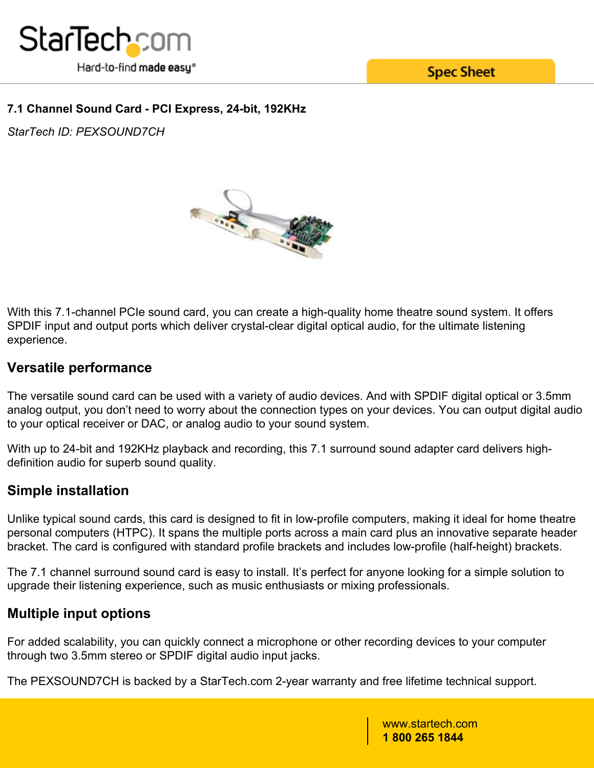

**Spec Sheet** 

### **7.1 Channel Sound Card - PCI Express, 24-bit, 192KHz**

*StarTech ID: PEXSOUND7CH*



With this 7.1-channel PCIe sound card, you can create a high-quality home theatre sound system. It offers SPDIF input and output ports which deliver crystal-clear digital optical audio, for the ultimate listening experience.

## **Versatile performance**

The versatile sound card can be used with a variety of audio devices. And with SPDIF digital optical or 3.5mm analog output, you don't need to worry about the connection types on your devices. You can output digital audio to your optical receiver or DAC, or analog audio to your sound system.

With up to 24-bit and 192KHz playback and recording, this 7.1 surround sound adapter card delivers highdefinition audio for superb sound quality.

## **Simple installation**

Unlike typical sound cards, this card is designed to fit in low-profile computers, making it ideal for home theatre personal computers (HTPC). It spans the multiple ports across a main card plus an innovative separate header bracket. The card is configured with standard profile brackets and includes low-profile (half-height) brackets.

The 7.1 channel surround sound card is easy to install. It's perfect for anyone looking for a simple solution to upgrade their listening experience, such as music enthusiasts or mixing professionals.

## **Multiple input options**

For added scalability, you can quickly connect a microphone or other recording devices to your computer through two 3.5mm stereo or SPDIF digital audio input jacks.

The PEXSOUND7CH is backed by a StarTech.com 2-year warranty and free lifetime technical support.

www.startech.com **1 800 265 1844**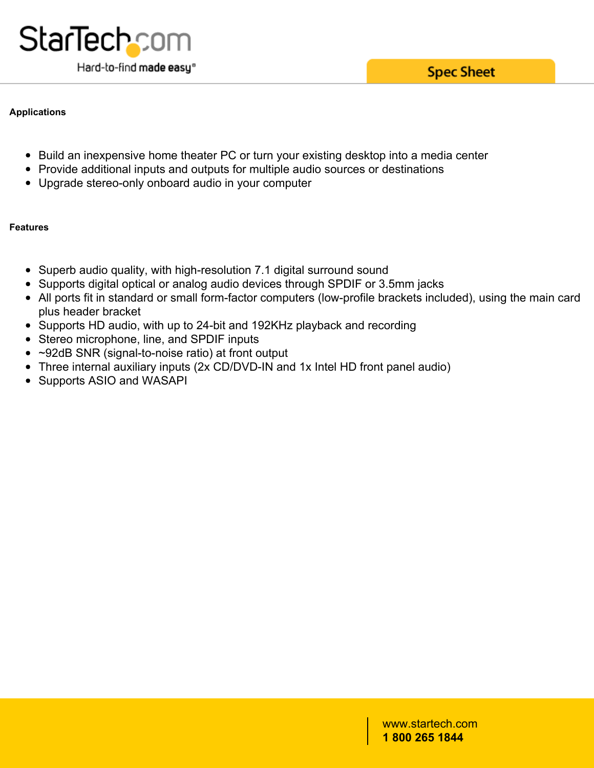#### **Applications**

- Build an inexpensive home theater PC or turn your existing desktop into a media center
- Provide additional inputs and outputs for multiple audio sources or destinations
- Upgrade stereo-only onboard audio in your computer

#### **Features**

- Superb audio quality, with high-resolution 7.1 digital surround sound
- Supports digital optical or analog audio devices through SPDIF or 3.5mm jacks
- All ports fit in standard or small form-factor computers (low-profile brackets included), using the main card plus header bracket
- Supports HD audio, with up to 24-bit and 192KHz playback and recording
- Stereo microphone, line, and SPDIF inputs
- ~92dB SNR (signal-to-noise ratio) at front output
- Three internal auxiliary inputs (2x CD/DVD-IN and 1x Intel HD front panel audio)
- Supports ASIO and WASAPI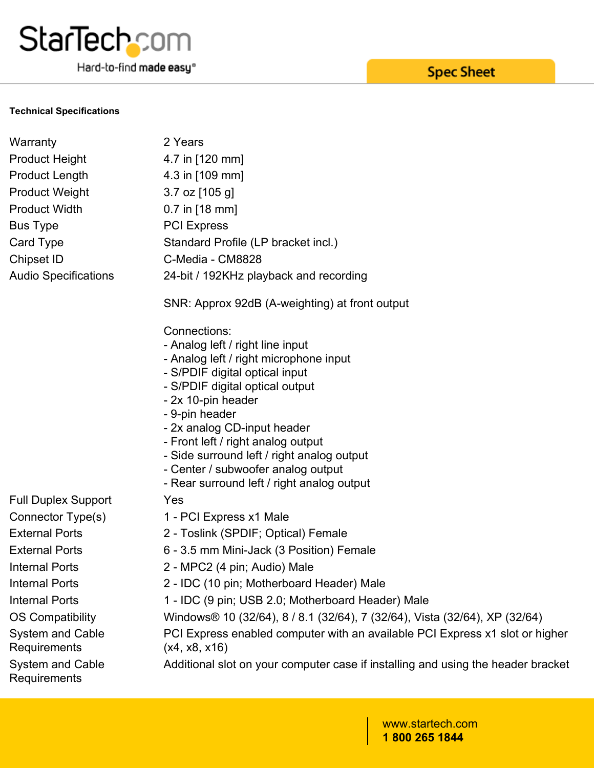# **StarTechcom**

Hard-to-find made easy®

#### **Technical Specifications**

| Warranty                                | 2 Years                                                                                       |
|-----------------------------------------|-----------------------------------------------------------------------------------------------|
| <b>Product Height</b>                   | 4.7 in [120 mm]                                                                               |
| <b>Product Length</b>                   | 4.3 in [109 mm]                                                                               |
| <b>Product Weight</b>                   | $3.7$ oz $[105$ g]                                                                            |
| <b>Product Width</b>                    | $0.7$ in [18 mm]                                                                              |
| <b>Bus Type</b>                         | <b>PCI Express</b>                                                                            |
| Card Type                               | Standard Profile (LP bracket incl.)                                                           |
| Chipset ID                              | C-Media - CM8828                                                                              |
| <b>Audio Specifications</b>             | 24-bit / 192KHz playback and recording                                                        |
|                                         | SNR: Approx 92dB (A-weighting) at front output                                                |
|                                         | Connections:                                                                                  |
|                                         | - Analog left / right line input                                                              |
|                                         | - Analog left / right microphone input                                                        |
|                                         | - S/PDIF digital optical input<br>- S/PDIF digital optical output                             |
|                                         | - 2x 10-pin header                                                                            |
|                                         | - 9-pin header                                                                                |
|                                         | - 2x analog CD-input header                                                                   |
|                                         | - Front left / right analog output                                                            |
|                                         | - Side surround left / right analog output<br>- Center / subwoofer analog output              |
|                                         | - Rear surround left / right analog output                                                    |
| <b>Full Duplex Support</b>              | Yes                                                                                           |
| Connector Type(s)                       | 1 - PCI Express x1 Male                                                                       |
| <b>External Ports</b>                   | 2 - Toslink (SPDIF; Optical) Female                                                           |
| <b>External Ports</b>                   | 6 - 3.5 mm Mini-Jack (3 Position) Female                                                      |
| <b>Internal Ports</b>                   | 2 - MPC2 (4 pin; Audio) Male                                                                  |
| <b>Internal Ports</b>                   | 2 - IDC (10 pin; Motherboard Header) Male                                                     |
| <b>Internal Ports</b>                   | 1 - IDC (9 pin; USB 2.0; Motherboard Header) Male                                             |
| <b>OS Compatibility</b>                 | Windows® 10 (32/64), 8 / 8.1 (32/64), 7 (32/64), Vista (32/64), XP (32/64)                    |
| <b>System and Cable</b><br>Requirements | PCI Express enabled computer with an available PCI Express x1 slot or higher<br>(x4, x8, x16) |
| <b>System and Cable</b><br>Requirements | Additional slot on your computer case if installing and using the header bracket              |

**Spec Sheet**